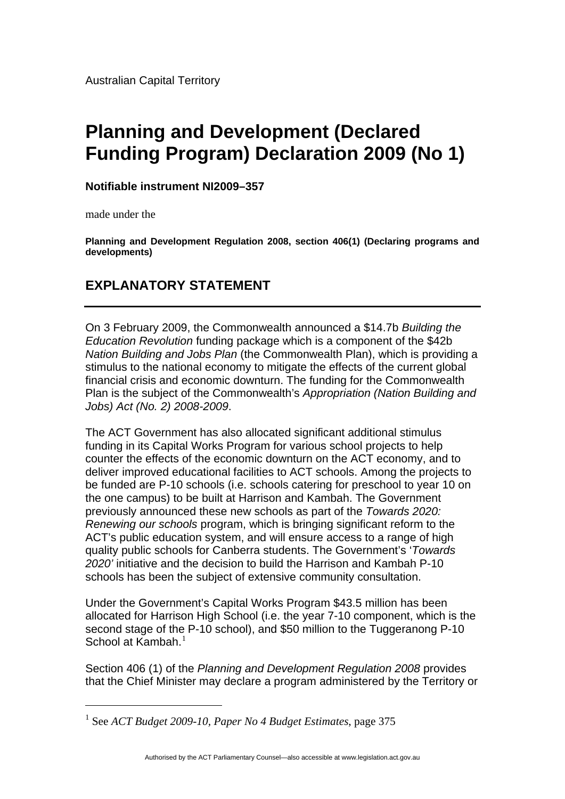## **Planning and Development (Declared Funding Program) Declaration 2009 (No 1)**

## **Notifiable instrument NI2009–357**

made under the

<u>.</u>

**Planning and Development Regulation 2008, section 406(1) (Declaring programs and developments)** 

## **EXPLANATORY STATEMENT**

On 3 February 2009, the Commonwealth announced a \$14.7b *Building the Education Revolution* funding package which is a component of the \$42b *Nation Building and Jobs Plan* (the Commonwealth Plan), which is providing a stimulus to the national economy to mitigate the effects of the current global financial crisis and economic downturn. The funding for the Commonwealth Plan is the subject of the Commonwealth's *Appropriation (Nation Building and Jobs) Act (No. 2) 2008-2009*.

The ACT Government has also allocated significant additional stimulus funding in its Capital Works Program for various school projects to help counter the effects of the economic downturn on the ACT economy, and to deliver improved educational facilities to ACT schools. Among the projects to be funded are P-10 schools (i.e. schools catering for preschool to year 10 on the one campus) to be built at Harrison and Kambah. The Government previously announced these new schools as part of the *Towards 2020: Renewing our schools* program, which is bringing significant reform to the ACT's public education system, and will ensure access to a range of high quality public schools for Canberra students. The Government's '*Towards 2020'* initiative and the decision to build the Harrison and Kambah P-10 schools has been the subject of extensive community consultation.

Under the Government's Capital Works Program \$43.5 million has been allocated for Harrison High School (i.e. the year 7-10 component, which is the second stage of the P-10 school), and \$50 million to the Tuggeranong P-10 School at Kambah. $1$ 

Section 406 (1) of the *Planning and Development Regulation 2008* provides that the Chief Minister may declare a program administered by the Territory or

<span id="page-0-0"></span><sup>1</sup> See *ACT Budget 2009-10, Paper No 4 Budget Estimates*, page 375